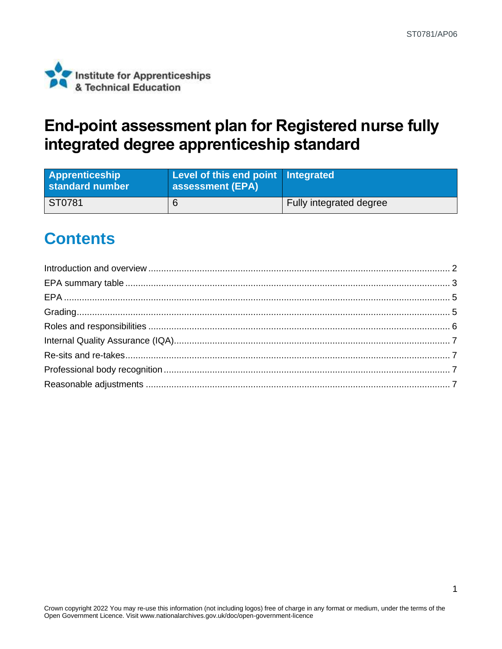

## **End-point assessment plan for Registered nurse fully integrated degree apprenticeship standard**

| <b>Apprenticeship</b><br>standard number | Level of this end point Integrated<br><b>assessment (EPA)</b> |                         |
|------------------------------------------|---------------------------------------------------------------|-------------------------|
| ST0781                                   |                                                               | Fully integrated degree |

## **Contents**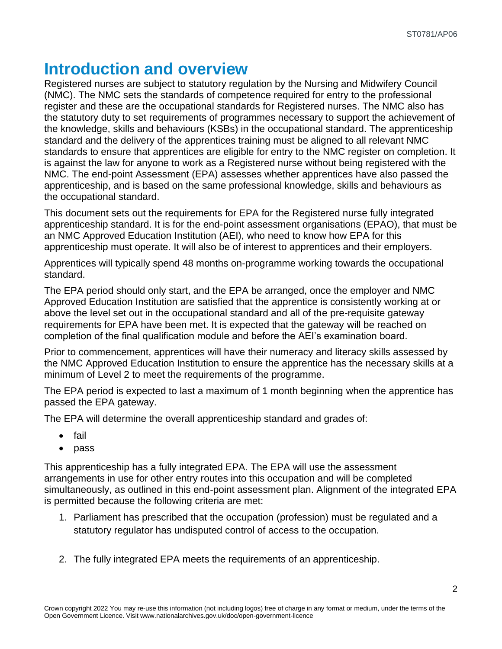### <span id="page-1-0"></span>**Introduction and overview**

Registered nurses are subject to statutory regulation by the Nursing and Midwifery Council (NMC). The NMC sets the standards of competence required for entry to the professional register and these are the occupational standards for Registered nurses. The NMC also has the statutory duty to set requirements of programmes necessary to support the achievement of the knowledge, skills and behaviours (KSBs) in the occupational standard. The apprenticeship standard and the delivery of the apprentices training must be aligned to all relevant NMC standards to ensure that apprentices are eligible for entry to the NMC register on completion. It is against the law for anyone to work as a Registered nurse without being registered with the NMC. The end-point Assessment (EPA) assesses whether apprentices have also passed the apprenticeship, and is based on the same professional knowledge, skills and behaviours as the occupational standard.

This document sets out the requirements for EPA for the Registered nurse fully integrated apprenticeship standard. It is for the end-point assessment organisations (EPAO), that must be an NMC Approved Education Institution (AEI), who need to know how EPA for this apprenticeship must operate. It will also be of interest to apprentices and their employers.

Apprentices will typically spend 48 months on-programme working towards the occupational standard.

The EPA period should only start, and the EPA be arranged, once the employer and NMC Approved Education Institution are satisfied that the apprentice is consistently working at or above the level set out in the occupational standard and all of the pre-requisite gateway requirements for EPA have been met. It is expected that the gateway will be reached on completion of the final qualification module and before the AEI's examination board.

Prior to commencement, apprentices will have their numeracy and literacy skills assessed by the NMC Approved Education Institution to ensure the apprentice has the necessary skills at a minimum of Level 2 to meet the requirements of the programme.

The EPA period is expected to last a maximum of 1 month beginning when the apprentice has passed the EPA gateway.

The EPA will determine the overall apprenticeship standard and grades of:

- fail
- pass

This apprenticeship has a fully integrated EPA. The EPA will use the assessment arrangements in use for other entry routes into this occupation and will be completed simultaneously, as outlined in this end-point assessment plan. Alignment of the integrated EPA is permitted because the following criteria are met:

- 1. Parliament has prescribed that the occupation (profession) must be regulated and a statutory regulator has undisputed control of access to the occupation.
- 2. The fully integrated EPA meets the requirements of an apprenticeship.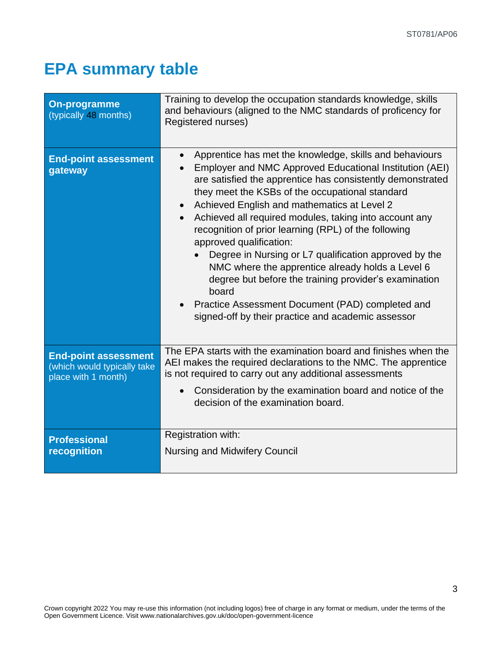# <span id="page-2-0"></span>**EPA summary table**

| <b>On-programme</b><br>(typically 48 months)                                      | Training to develop the occupation standards knowledge, skills<br>and behaviours (aligned to the NMC standards of proficency for<br>Registered nurses)                                                                                                                                                                                                                                                                                                                                                                                                                                                                                                                                                                   |  |
|-----------------------------------------------------------------------------------|--------------------------------------------------------------------------------------------------------------------------------------------------------------------------------------------------------------------------------------------------------------------------------------------------------------------------------------------------------------------------------------------------------------------------------------------------------------------------------------------------------------------------------------------------------------------------------------------------------------------------------------------------------------------------------------------------------------------------|--|
| <b>End-point assessment</b><br>gateway                                            | Apprentice has met the knowledge, skills and behaviours<br>Employer and NMC Approved Educational Institution (AEI)<br>are satisfied the apprentice has consistently demonstrated<br>they meet the KSBs of the occupational standard<br>Achieved English and mathematics at Level 2<br>Achieved all required modules, taking into account any<br>recognition of prior learning (RPL) of the following<br>approved qualification:<br>Degree in Nursing or L7 qualification approved by the<br>NMC where the apprentice already holds a Level 6<br>degree but before the training provider's examination<br>board<br>Practice Assessment Document (PAD) completed and<br>signed-off by their practice and academic assessor |  |
| <b>End-point assessment</b><br>(which would typically take<br>place with 1 month) | The EPA starts with the examination board and finishes when the<br>AEI makes the required declarations to the NMC. The apprentice<br>is not required to carry out any additional assessments<br>Consideration by the examination board and notice of the<br>decision of the examination board.                                                                                                                                                                                                                                                                                                                                                                                                                           |  |
| <b>Professional</b><br>recognition                                                | Registration with:<br><b>Nursing and Midwifery Council</b>                                                                                                                                                                                                                                                                                                                                                                                                                                                                                                                                                                                                                                                               |  |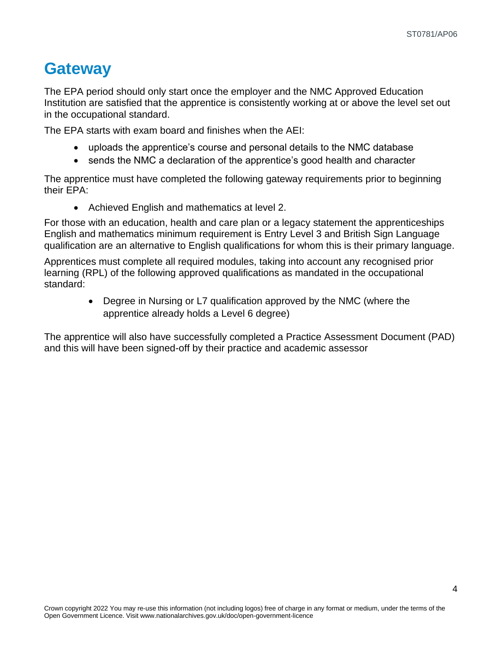#### **Gateway**

The EPA period should only start once the employer and the NMC Approved Education Institution are satisfied that the apprentice is consistently working at or above the level set out in the occupational standard.

The EPA starts with exam board and finishes when the AEI:

- uploads the apprentice's course and personal details to the NMC database
- sends the NMC a declaration of the apprentice's good health and character

The apprentice must have completed the following gateway requirements prior to beginning their EPA:

• Achieved English and mathematics at level 2.

For those with an education, health and care plan or a legacy statement the apprenticeships English and mathematics minimum requirement is Entry Level 3 and British Sign Language qualification are an alternative to English qualifications for whom this is their primary language.

Apprentices must complete all required modules, taking into account any recognised prior learning (RPL) of the following approved qualifications as mandated in the occupational standard:

> • Degree in Nursing or L7 qualification approved by the NMC (where the apprentice already holds a Level 6 degree)

The apprentice will also have successfully completed a Practice Assessment Document (PAD) and this will have been signed-off by their practice and academic assessor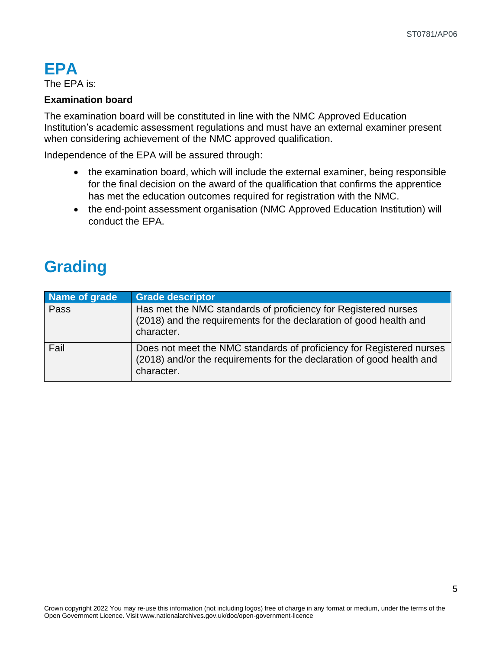#### <span id="page-4-0"></span>**EPA**

The EPA is:

#### **Examination board**

The examination board will be constituted in line with the NMC Approved Education Institution's academic assessment regulations and must have an external examiner present when considering achievement of the NMC approved qualification.

Independence of the EPA will be assured through:

- the examination board, which will include the external examiner, being responsible for the final decision on the award of the qualification that confirms the apprentice has met the education outcomes required for registration with the NMC.
- the end-point assessment organisation (NMC Approved Education Institution) will conduct the EPA.

# <span id="page-4-1"></span>**Grading**

| Name of grade | <b>Grade descriptor</b>                                                                                                                                     |
|---------------|-------------------------------------------------------------------------------------------------------------------------------------------------------------|
| Pass          | Has met the NMC standards of proficiency for Registered nurses<br>(2018) and the requirements for the declaration of good health and<br>character.          |
| Fail          | Does not meet the NMC standards of proficiency for Registered nurses<br>(2018) and/or the requirements for the declaration of good health and<br>character. |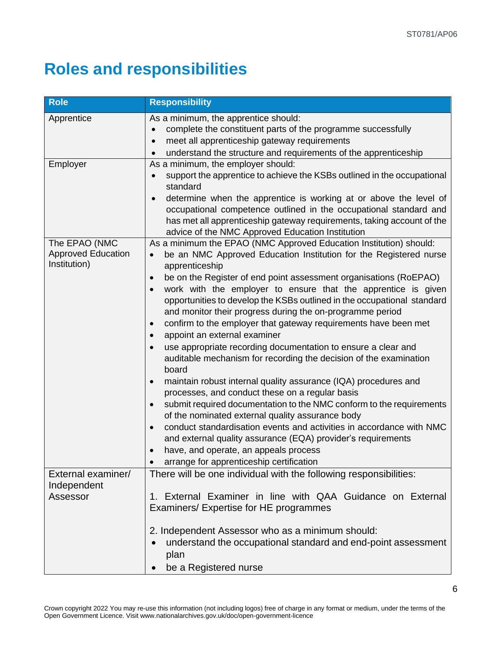# <span id="page-5-0"></span>**Roles and responsibilities**

| <b>Role</b>                                                | <b>Responsibility</b>                                                                                                                                                                                                                                                                                                                                                                                                                                                                                                                                                                                                                                                                                                                                                                                                                                                                                                                                                                                                                                                                                                                                                                                           |
|------------------------------------------------------------|-----------------------------------------------------------------------------------------------------------------------------------------------------------------------------------------------------------------------------------------------------------------------------------------------------------------------------------------------------------------------------------------------------------------------------------------------------------------------------------------------------------------------------------------------------------------------------------------------------------------------------------------------------------------------------------------------------------------------------------------------------------------------------------------------------------------------------------------------------------------------------------------------------------------------------------------------------------------------------------------------------------------------------------------------------------------------------------------------------------------------------------------------------------------------------------------------------------------|
| Apprentice                                                 | As a minimum, the apprentice should:<br>complete the constituent parts of the programme successfully<br>meet all apprenticeship gateway requirements<br>$\bullet$<br>understand the structure and requirements of the apprenticeship                                                                                                                                                                                                                                                                                                                                                                                                                                                                                                                                                                                                                                                                                                                                                                                                                                                                                                                                                                            |
| Employer                                                   | As a minimum, the employer should:<br>support the apprentice to achieve the KSBs outlined in the occupational<br>$\bullet$<br>standard<br>determine when the apprentice is working at or above the level of<br>occupational competence outlined in the occupational standard and<br>has met all apprenticeship gateway requirements, taking account of the<br>advice of the NMC Approved Education Institution                                                                                                                                                                                                                                                                                                                                                                                                                                                                                                                                                                                                                                                                                                                                                                                                  |
| The EPAO (NMC<br><b>Approved Education</b><br>Institution) | As a minimum the EPAO (NMC Approved Education Institution) should:<br>be an NMC Approved Education Institution for the Registered nurse<br>$\bullet$<br>apprenticeship<br>be on the Register of end point assessment organisations (RoEPAO)<br>$\bullet$<br>work with the employer to ensure that the apprentice is given<br>opportunities to develop the KSBs outlined in the occupational standard<br>and monitor their progress during the on-programme period<br>confirm to the employer that gateway requirements have been met<br>$\bullet$<br>appoint an external examiner<br>use appropriate recording documentation to ensure a clear and<br>auditable mechanism for recording the decision of the examination<br>board<br>maintain robust internal quality assurance (IQA) procedures and<br>processes, and conduct these on a regular basis<br>submit required documentation to the NMC conform to the requirements<br>of the nominated external quality assurance body<br>conduct standardisation events and activities in accordance with NMC<br>and external quality assurance (EQA) provider's requirements<br>have, and operate, an appeals process<br>arrange for apprenticeship certification |
| External examiner/<br>Independent<br>Assessor              | There will be one individual with the following responsibilities:<br>1. External Examiner in line with QAA Guidance on External<br>Examiners/ Expertise for HE programmes<br>2. Independent Assessor who as a minimum should:<br>understand the occupational standard and end-point assessment<br>plan<br>be a Registered nurse                                                                                                                                                                                                                                                                                                                                                                                                                                                                                                                                                                                                                                                                                                                                                                                                                                                                                 |